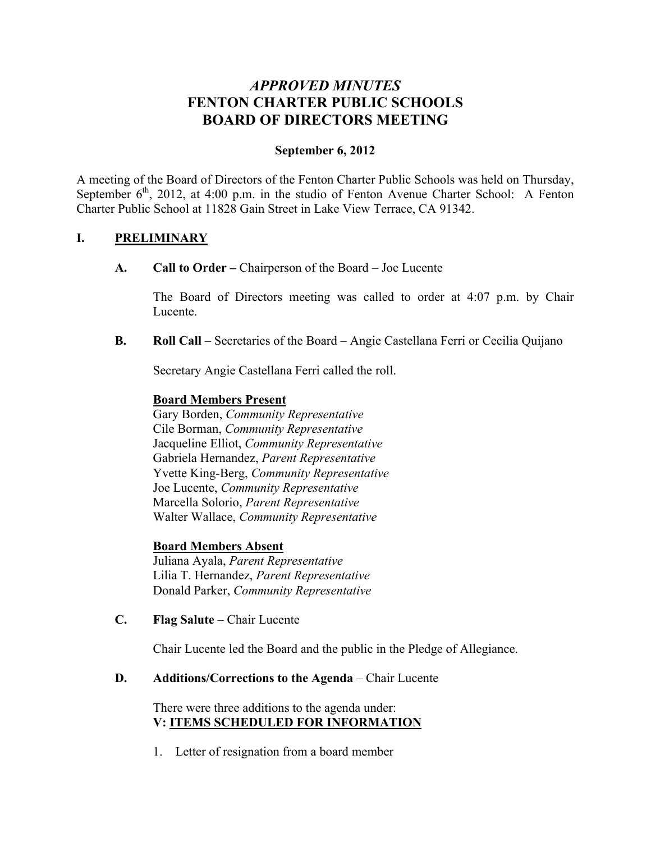# *APPROVED MINUTES* **FENTON CHARTER PUBLIC SCHOOLS BOARD OF DIRECTORS MEETING**

# **September 6, 2012**

A meeting of the Board of Directors of the Fenton Charter Public Schools was held on Thursday, September  $6<sup>th</sup>$ , 2012, at 4:00 p.m. in the studio of Fenton Avenue Charter School: A Fenton Charter Public School at 11828 Gain Street in Lake View Terrace, CA 91342.

# **I. PRELIMINARY**

**A. Call to Order –** Chairperson of the Board – Joe Lucente

The Board of Directors meeting was called to order at 4:07 p.m. by Chair Lucente.

**B. Roll Call** – Secretaries of the Board – Angie Castellana Ferri or Cecilia Quijano

Secretary Angie Castellana Ferri called the roll.

## **Board Members Present**

Gary Borden, *Community Representative* Cile Borman, *Community Representative* Jacqueline Elliot, *Community Representative* Gabriela Hernandez, *Parent Representative* Yvette King-Berg, *Community Representative* Joe Lucente, *Community Representative* Marcella Solorio, *Parent Representative* Walter Wallace, *Community Representative*

# **Board Members Absent**

Juliana Ayala, *Parent Representative* Lilia T. Hernandez, *Parent Representative* Donald Parker, *Community Representative*

**C. Flag Salute** – Chair Lucente

Chair Lucente led the Board and the public in the Pledge of Allegiance.

**D. Additions/Corrections to the Agenda** – Chair Lucente

There were three additions to the agenda under: **V: ITEMS SCHEDULED FOR INFORMATION**

1. Letter of resignation from a board member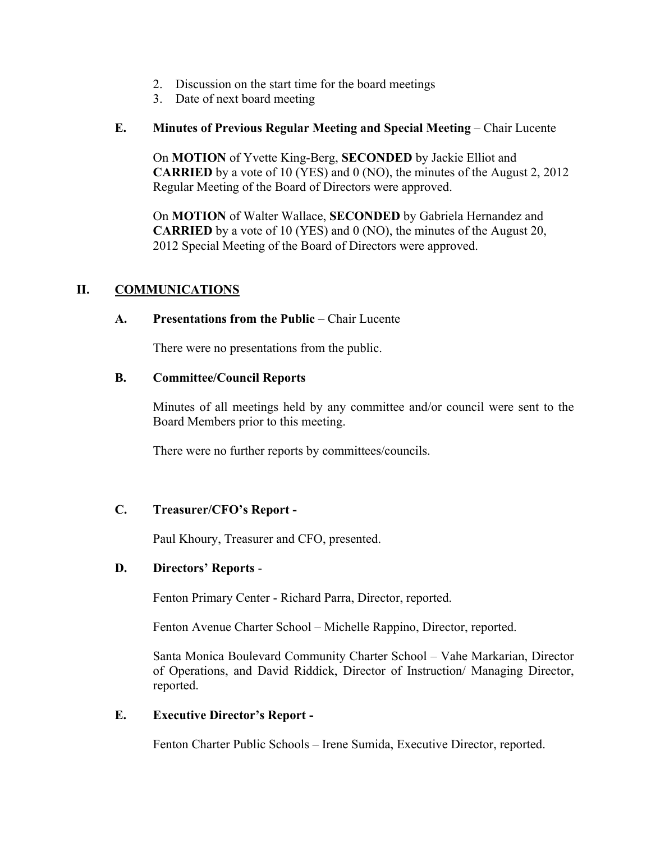- 2. Discussion on the start time for the board meetings
- 3. Date of next board meeting

## **E. Minutes of Previous Regular Meeting and Special Meeting** – Chair Lucente

On **MOTION** of Yvette King-Berg, **SECONDED** by Jackie Elliot and **CARRIED** by a vote of 10 (YES) and 0 (NO), the minutes of the August 2, 2012 Regular Meeting of the Board of Directors were approved.

On **MOTION** of Walter Wallace, **SECONDED** by Gabriela Hernandez and **CARRIED** by a vote of 10 (YES) and 0 (NO), the minutes of the August 20, 2012 Special Meeting of the Board of Directors were approved.

## **II. COMMUNICATIONS**

#### **A. Presentations from the Public** – Chair Lucente

There were no presentations from the public.

#### **B. Committee/Council Reports**

Minutes of all meetings held by any committee and/or council were sent to the Board Members prior to this meeting.

There were no further reports by committees/councils.

#### **C. Treasurer/CFO's Report -**

Paul Khoury, Treasurer and CFO, presented.

## **D. Directors' Reports** -

Fenton Primary Center - Richard Parra, Director, reported.

Fenton Avenue Charter School – Michelle Rappino, Director, reported.

Santa Monica Boulevard Community Charter School – Vahe Markarian, Director of Operations, and David Riddick, Director of Instruction/ Managing Director, reported.

#### **E. Executive Director's Report -**

Fenton Charter Public Schools – Irene Sumida, Executive Director, reported.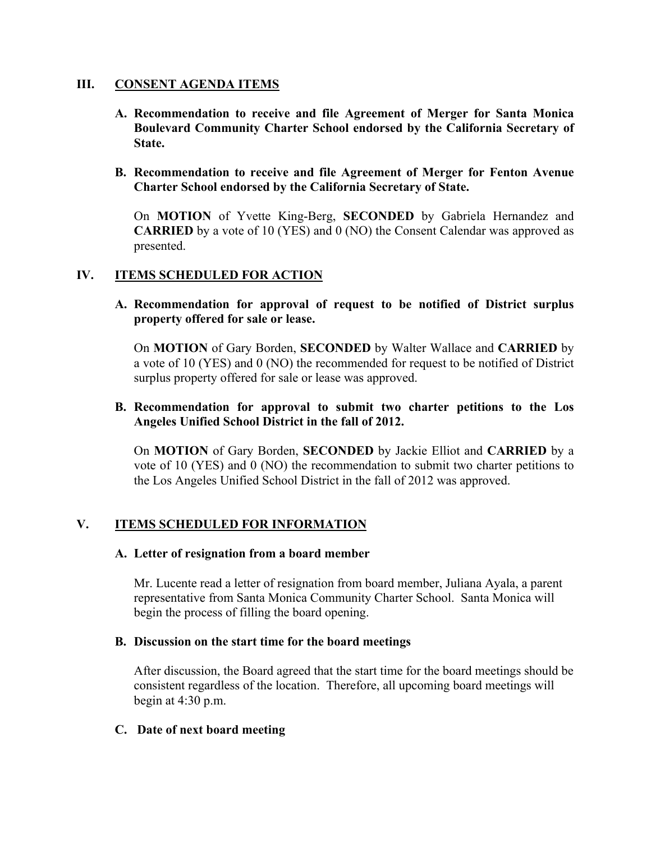#### **III. CONSENT AGENDA ITEMS**

- **A. Recommendation to receive and file Agreement of Merger for Santa Monica Boulevard Community Charter School endorsed by the California Secretary of State.**
- **B. Recommendation to receive and file Agreement of Merger for Fenton Avenue Charter School endorsed by the California Secretary of State.**

On **MOTION** of Yvette King-Berg, **SECONDED** by Gabriela Hernandez and **CARRIED** by a vote of 10 (YES) and 0 (NO) the Consent Calendar was approved as presented.

## **IV. ITEMS SCHEDULED FOR ACTION**

**A. Recommendation for approval of request to be notified of District surplus property offered for sale or lease.**

On **MOTION** of Gary Borden, **SECONDED** by Walter Wallace and **CARRIED** by a vote of 10 (YES) and 0 (NO) the recommended for request to be notified of District surplus property offered for sale or lease was approved.

#### **B. Recommendation for approval to submit two charter petitions to the Los Angeles Unified School District in the fall of 2012.**

On **MOTION** of Gary Borden, **SECONDED** by Jackie Elliot and **CARRIED** by a vote of 10 (YES) and 0 (NO) the recommendation to submit two charter petitions to the Los Angeles Unified School District in the fall of 2012 was approved.

#### **V. ITEMS SCHEDULED FOR INFORMATION**

#### **A. Letter of resignation from a board member**

Mr. Lucente read a letter of resignation from board member, Juliana Ayala, a parent representative from Santa Monica Community Charter School. Santa Monica will begin the process of filling the board opening.

#### **B. Discussion on the start time for the board meetings**

After discussion, the Board agreed that the start time for the board meetings should be consistent regardless of the location. Therefore, all upcoming board meetings will begin at 4:30 p.m.

#### **C. Date of next board meeting**